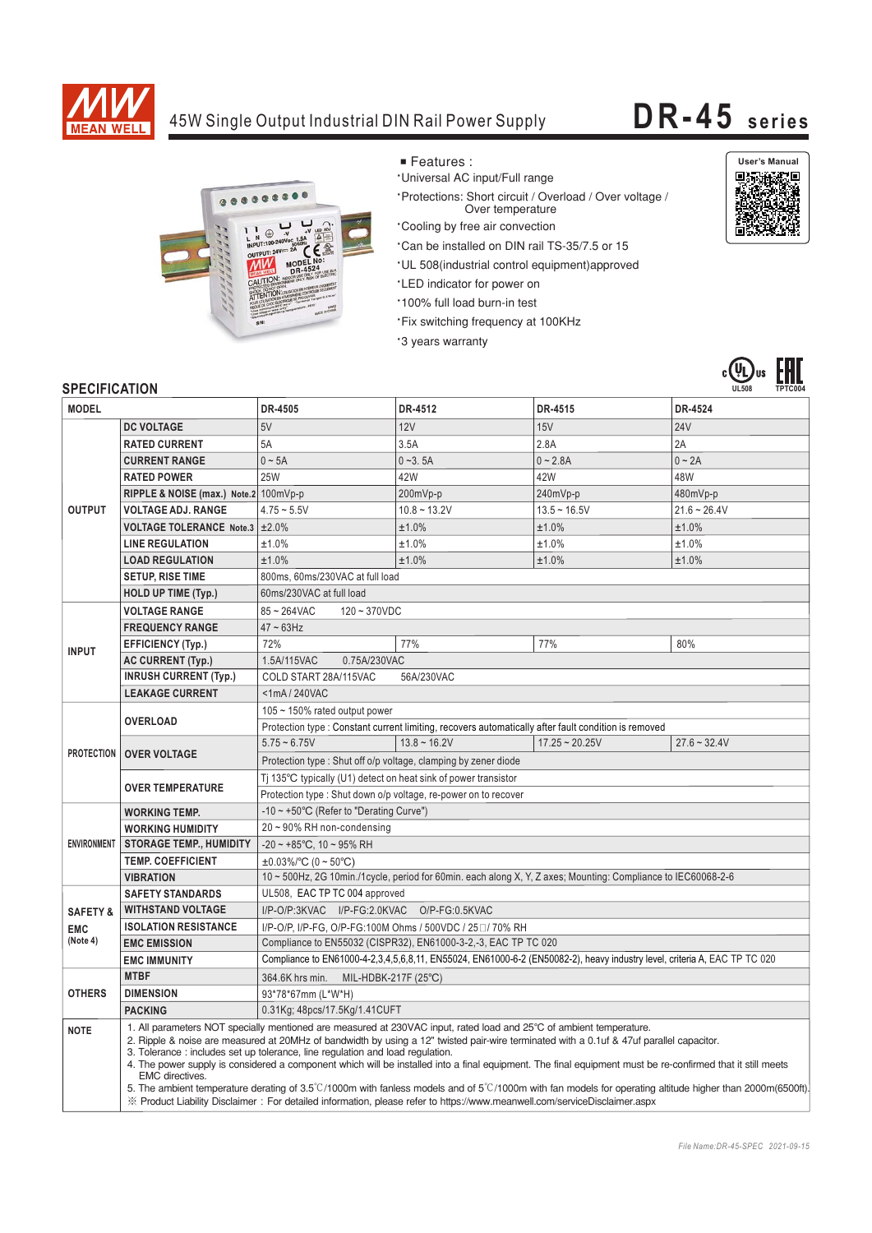

## 45W Single Output Industrial DIN Rail Power Supply **DR-45 series**



- Features :
- \*Universal AC input/Full range
- \*Protections: Short circuit / Overload / Over voltage / Over temperature
- \*Cooling by free air convection
- \*Can be installed on DIN rail TS-35/7.5 or 15
- \*UL 508(industrial control equipment)approved
- \*LED indicator for power on
- .<br>100% full load burn-in test
- 'Fix switching frequency at 100KHz
- \*3 years warranty





## **SPECIFICATION**

| יוטוורשם וש<br><b>MODEL</b> |                                       | DR-4505                                                                                                                                                                                                                                                                                                                                                                                                                                                                                                                                                                                                                                                                                                                                                                                                  | DR-4512        | DR-4515          | DR-4524        |
|-----------------------------|---------------------------------------|----------------------------------------------------------------------------------------------------------------------------------------------------------------------------------------------------------------------------------------------------------------------------------------------------------------------------------------------------------------------------------------------------------------------------------------------------------------------------------------------------------------------------------------------------------------------------------------------------------------------------------------------------------------------------------------------------------------------------------------------------------------------------------------------------------|----------------|------------------|----------------|
|                             | <b>DC VOLTAGE</b>                     | 5V                                                                                                                                                                                                                                                                                                                                                                                                                                                                                                                                                                                                                                                                                                                                                                                                       | 12V            | 15V              | <b>24V</b>     |
| <b>OUTPUT</b>               | <b>RATED CURRENT</b>                  | 5A                                                                                                                                                                                                                                                                                                                                                                                                                                                                                                                                                                                                                                                                                                                                                                                                       | 3.5A           | 2.8A             | 2A             |
|                             | <b>CURRENT RANGE</b>                  | $0 \sim 5A$                                                                                                                                                                                                                                                                                                                                                                                                                                                                                                                                                                                                                                                                                                                                                                                              | $0 - 3.5A$     | $0 - 2.8A$       | $0 - 2A$       |
|                             | <b>RATED POWER</b>                    | <b>25W</b>                                                                                                                                                                                                                                                                                                                                                                                                                                                                                                                                                                                                                                                                                                                                                                                               | 42W            | 42W              | 48W            |
|                             | RIPPLE & NOISE (max.) Note.2 100mVp-p |                                                                                                                                                                                                                                                                                                                                                                                                                                                                                                                                                                                                                                                                                                                                                                                                          | 200mVp-p       | 240mVp-p         | 480mVp-p       |
|                             | <b>VOLTAGE ADJ. RANGE</b>             | $4.75 - 5.5V$                                                                                                                                                                                                                                                                                                                                                                                                                                                                                                                                                                                                                                                                                                                                                                                            | $10.8 - 13.2V$ | $13.5 - 16.5V$   | $21.6 - 26.4V$ |
|                             | VOLTAGE TOLERANCE Note.3 ±2.0%        |                                                                                                                                                                                                                                                                                                                                                                                                                                                                                                                                                                                                                                                                                                                                                                                                          | ±1.0%          | ±1.0%            | ±1.0%          |
|                             | <b>LINE REGULATION</b>                | ±1.0%                                                                                                                                                                                                                                                                                                                                                                                                                                                                                                                                                                                                                                                                                                                                                                                                    | ±1.0%          | ±1.0%            | ±1.0%          |
|                             | <b>LOAD REGULATION</b>                | ±1.0%                                                                                                                                                                                                                                                                                                                                                                                                                                                                                                                                                                                                                                                                                                                                                                                                    | ±1.0%          | ±1.0%            | ±1.0%          |
|                             | <b>SETUP, RISE TIME</b>               | 800ms, 60ms/230VAC at full load                                                                                                                                                                                                                                                                                                                                                                                                                                                                                                                                                                                                                                                                                                                                                                          |                |                  |                |
|                             | <b>HOLD UP TIME (Typ.)</b>            | 60ms/230VAC at full load                                                                                                                                                                                                                                                                                                                                                                                                                                                                                                                                                                                                                                                                                                                                                                                 |                |                  |                |
|                             | <b>VOLTAGE RANGE</b>                  | $85 - 264$ VAC<br>$120 - 370VDC$                                                                                                                                                                                                                                                                                                                                                                                                                                                                                                                                                                                                                                                                                                                                                                         |                |                  |                |
| <b>INPUT</b>                | <b>FREQUENCY RANGE</b>                | $47 \sim 63$ Hz                                                                                                                                                                                                                                                                                                                                                                                                                                                                                                                                                                                                                                                                                                                                                                                          |                |                  |                |
|                             | <b>EFFICIENCY (Typ.)</b>              | 72%                                                                                                                                                                                                                                                                                                                                                                                                                                                                                                                                                                                                                                                                                                                                                                                                      | 77%            | 77%              | 80%            |
|                             | <b>AC CURRENT (Typ.)</b>              | 1.5A/115VAC<br>0.75A/230VAC                                                                                                                                                                                                                                                                                                                                                                                                                                                                                                                                                                                                                                                                                                                                                                              |                |                  |                |
|                             | <b>INRUSH CURRENT (Typ.)</b>          | COLD START 28A/115VAC<br>56A/230VAC                                                                                                                                                                                                                                                                                                                                                                                                                                                                                                                                                                                                                                                                                                                                                                      |                |                  |                |
|                             | <b>LEAKAGE CURRENT</b>                | <1mA/240VAC                                                                                                                                                                                                                                                                                                                                                                                                                                                                                                                                                                                                                                                                                                                                                                                              |                |                  |                |
| <b>PROTECTION</b>           | <b>OVERLOAD</b>                       | 105 ~ 150% rated output power                                                                                                                                                                                                                                                                                                                                                                                                                                                                                                                                                                                                                                                                                                                                                                            |                |                  |                |
|                             |                                       | Protection type : Constant current limiting, recovers automatically after fault condition is removed                                                                                                                                                                                                                                                                                                                                                                                                                                                                                                                                                                                                                                                                                                     |                |                  |                |
|                             | <b>OVER VOLTAGE</b>                   | $5.75 - 6.75V$                                                                                                                                                                                                                                                                                                                                                                                                                                                                                                                                                                                                                                                                                                                                                                                           | $13.8 - 16.2V$ | $17.25 - 20.25V$ | $27.6 - 32.4V$ |
|                             |                                       | Protection type: Shut off o/p voltage, clamping by zener diode                                                                                                                                                                                                                                                                                                                                                                                                                                                                                                                                                                                                                                                                                                                                           |                |                  |                |
|                             | <b>OVER TEMPERATURE</b>               | Ti 135°C typically (U1) detect on heat sink of power transistor                                                                                                                                                                                                                                                                                                                                                                                                                                                                                                                                                                                                                                                                                                                                          |                |                  |                |
|                             |                                       | Protection type : Shut down o/p voltage, re-power on to recover                                                                                                                                                                                                                                                                                                                                                                                                                                                                                                                                                                                                                                                                                                                                          |                |                  |                |
| <b>ENVIRONMENT</b>          | <b>WORKING TEMP.</b>                  | -10 $\sim$ +50°C (Refer to "Derating Curve")                                                                                                                                                                                                                                                                                                                                                                                                                                                                                                                                                                                                                                                                                                                                                             |                |                  |                |
|                             | <b>WORKING HUMIDITY</b>               | 20~90% RH non-condensing                                                                                                                                                                                                                                                                                                                                                                                                                                                                                                                                                                                                                                                                                                                                                                                 |                |                  |                |
|                             | <b>STORAGE TEMP., HUMIDITY</b>        | $-20 \sim +85^{\circ}$ C, 10 ~ 95% RH                                                                                                                                                                                                                                                                                                                                                                                                                                                                                                                                                                                                                                                                                                                                                                    |                |                  |                |
|                             | <b>TEMP. COEFFICIENT</b>              | $\pm 0.03\%$ /°C (0 ~ 50°C)                                                                                                                                                                                                                                                                                                                                                                                                                                                                                                                                                                                                                                                                                                                                                                              |                |                  |                |
|                             | <b>VIBRATION</b>                      | 10 ~ 500Hz, 2G 10min./1cycle, period for 60min. each along X, Y, Z axes; Mounting: Compliance to IEC60068-2-6                                                                                                                                                                                                                                                                                                                                                                                                                                                                                                                                                                                                                                                                                            |                |                  |                |
|                             | <b>SAFETY STANDARDS</b>               | UL508, EAC TP TC 004 approved                                                                                                                                                                                                                                                                                                                                                                                                                                                                                                                                                                                                                                                                                                                                                                            |                |                  |                |
| <b>SAFETY &amp;</b>         | <b>WITHSTAND VOLTAGE</b>              | I/P-O/P:3KVAC I/P-FG:2.0KVAC<br>O/P-FG:0.5KVAC                                                                                                                                                                                                                                                                                                                                                                                                                                                                                                                                                                                                                                                                                                                                                           |                |                  |                |
| <b>EMC</b>                  | <b>ISOLATION RESISTANCE</b>           | I/P-O/P, I/P-FG, O/P-FG:100M Ohms / 500VDC / 25 0 / 70% RH                                                                                                                                                                                                                                                                                                                                                                                                                                                                                                                                                                                                                                                                                                                                               |                |                  |                |
| (Note 4)                    | <b>EMC EMISSION</b>                   | Compliance to EN55032 (CISPR32), EN61000-3-2,-3, EAC TP TC 020                                                                                                                                                                                                                                                                                                                                                                                                                                                                                                                                                                                                                                                                                                                                           |                |                  |                |
|                             | <b>EMC IMMUNITY</b>                   | Compliance to EN61000-4-2,3,4,5,6,8,11, EN55024, EN61000-6-2 (EN50082-2), heavy industry level, criteria A, EAC TP TC 020                                                                                                                                                                                                                                                                                                                                                                                                                                                                                                                                                                                                                                                                                |                |                  |                |
| <b>OTHERS</b>               | <b>MTBF</b>                           | 364.6K hrs min. MIL-HDBK-217F (25°C)                                                                                                                                                                                                                                                                                                                                                                                                                                                                                                                                                                                                                                                                                                                                                                     |                |                  |                |
|                             | <b>DIMENSION</b>                      | 93*78*67mm (L*W*H)                                                                                                                                                                                                                                                                                                                                                                                                                                                                                                                                                                                                                                                                                                                                                                                       |                |                  |                |
|                             | <b>PACKING</b>                        | 0.31Kg; 48pcs/17.5Kg/1.41CUFT                                                                                                                                                                                                                                                                                                                                                                                                                                                                                                                                                                                                                                                                                                                                                                            |                |                  |                |
| <b>NOTE</b>                 | <b>EMC</b> directives.                | 1. All parameters NOT specially mentioned are measured at 230VAC input, rated load and 25°C of ambient temperature.<br>2. Ripple & noise are measured at 20MHz of bandwidth by using a 12" twisted pair-wire terminated with a 0.1uf & 47uf parallel capacitor.<br>3. Tolerance : includes set up tolerance, line regulation and load regulation.<br>4. The power supply is considered a component which will be installed into a final equipment. The final equipment must be re-confirmed that it still meets<br>5. The ambient temperature derating of 3.5°C/1000m with fanless models and of 5°C/1000m with fan models for operating altitude higher than 2000m(6500ft)<br>X Product Liability Disclaimer: For detailed information, please refer to https://www.meanwell.com/serviceDisclaimer.aspx |                |                  |                |